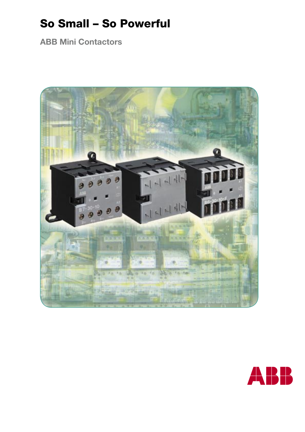# So Small – So Powerful

**ABB Mini Contactors**



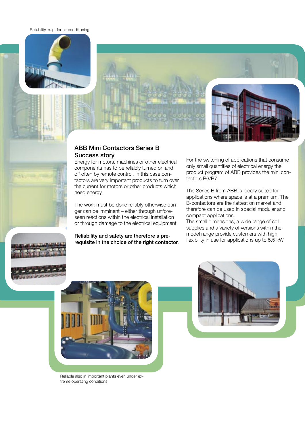Reliability, e. g. for air conditioning





4 U Tr

#### ABB Mini Contactors Series B Success story

Energy for motors, machines or other electrical components has to be reliably turned on and off often by remote control. In this case contactors are very important products to turn over the current for motors or other products which need energy.

The work must be done reliably otherwise danger can be imminent – either through unforeseen reactions within the electrical installation or through damage to the electrical equipment.

Reliability and safety are therefore a prerequisite in the choice of the right contactor. For the switching of applications that consume only small quantities of electrical energy the product program of ABB provides the mini contactors B6/B7.

The Series B from ABB is ideally suited for applications where space is at a premium. The B-contactors are the flattest on market and therefore can be used in special modular and compact applications.

The small dimensions, a wide range of coil supplies and a variety of versions within the model range provide customers with high flexibility in use for applications up to 5.5 kW.





Reliable also in important plants even under extreme operating conditions

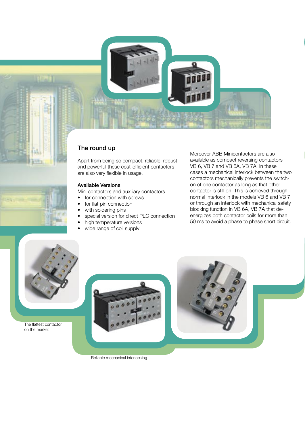



# The round up

Apart from being so compact, reliable, robust and powerful these cost-efficient contactors are also very flexible in usage.

#### Available Versions

Mini contactors and auxiliary contactors

- for connection with screws
- for flat pin connection
- with soldering pins
- special version for direct PLC connection
- high temperature versions
- wide range of coil supply

Moreover ABB Minicontactors are also available as compact reversing contactors VB 6, VB 7 and VB 6A, VB 7A. In these cases a mechanical interlock between the two contactors mechanically prevents the switchon of one contactor as long as that other contactor is still on. This is achieved through normal interlock in the models VB 6 and VB 7 or through an interlock with mechanical safety blocking function in VB 6A, VB 7A that deenergizes both contactor coils for more than 50 ms to avoid a phase to phase short circuit.



The flattest contactor on the market





Reliable mechanical interlocking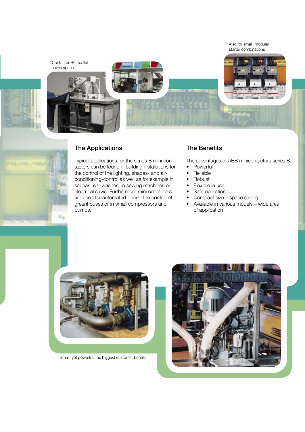Also for small, modular starter combinations





### The Applications

Typical applications for the series B mini contactors can be found in building installations for the control of the lighting, shades- and airconditioning-control as well as for example in saunas, car-washes, in sewing machines or electrical saws. Furthermore mini contactors are used for automated doors, the control of greenhouses or in small compressors and pumps.

### The Benefits

The advantages of ABB minicontactors series B:

- Powerful
- Reliable
- Robust
- Flexible in use
- Safe operation
- Compact size space saving
- Available in various models wide area of application



Small, yet powerful: the biggest customer benefit

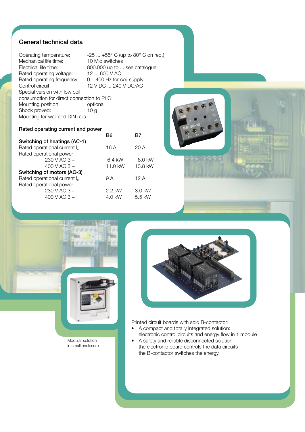## General technical data

Operating temperature:  $-25 ... +55^{\circ}$  C (up to 80 $^{\circ}$  C on req.) Mechanical life time: 10 Mio switches Electrical life time: 800.000 up to ... see catalogue Rated operating voltage: 12 ... 600 V AC Rated operating frequency: 0 ...400 Hz for coil supply Control circuit: 12 V DC ... 240 V DC/AC Special version with low coil consumption for direct connection to PLC Mounting position: optional Shock proved: 10 g Mounting for wall and DIN rails

#### Rated operating current and power

|                                          | B6      |         |
|------------------------------------------|---------|---------|
| Switching of heatings (AC-1)             |         |         |
| Rated operational current I <sub>e</sub> | 16 A    | 20 A    |
| Rated operational power                  |         |         |
| 230 V AC 3 $\sim$                        | 6.4 kW  | 8.0 kW  |
| 400 V AC 3 $\sim$                        | 11.0 kW | 13.8 kW |
| Switching of motors (AC-3)               |         |         |
| Rated operational current I <sub>e</sub> | 9 A     | 12 A    |
| Rated operational power                  |         |         |
| 230 V AC 3 $\sim$                        | 2.2 kW  | 3.0 kW  |
| 400 V AC 3 $\sim$                        | 4.0 kW  | 5.5 kW  |
|                                          |         |         |





Modular solution in small enclosure



Printed circuit boards with sold B-contactor:

- A compact and totally integrated solution: electronic control circuits and energy flow in 1 module
- A safety and reliable disconnected solution: the electronic board controls the data circuits the B-contactor switches the energy